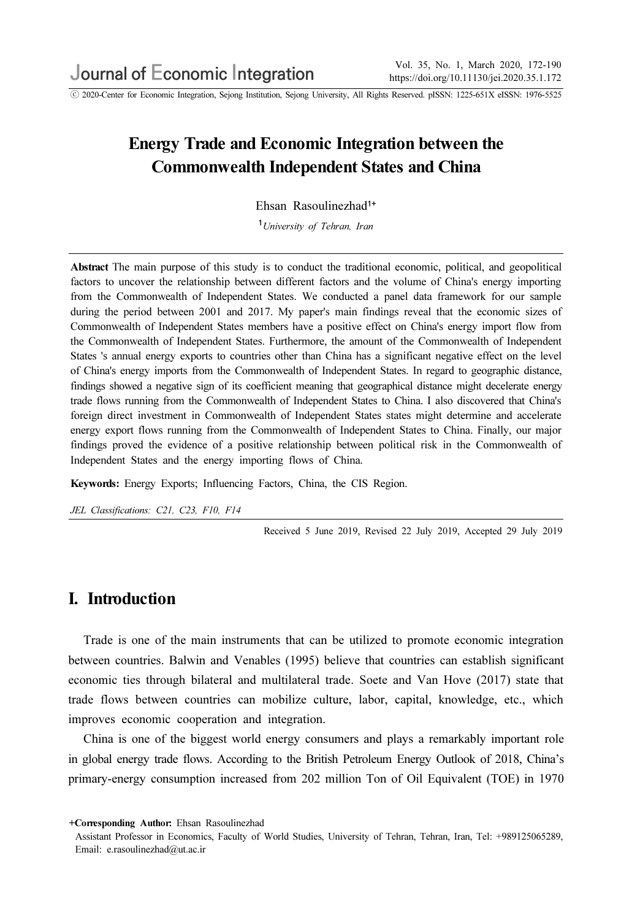ⓒ 2020-Center for Economic Integration, Sejong Institution, Sejong University, All Rights Reserved. pISSN: 1225-651X eISSN: 1976-5525

# Energy Trade and Economic Integration between the Commonwealth Independent States and China

Ehsan Rasoulinezhad1+

<sup>1</sup>University of Tehran, Iran

Abstract The main purpose of this study is to conduct the traditional economic, political, and geopolitical factors to uncover the relationship between different factors and the volume of China's energy importing from the Commonwealth of Independent States. We conducted a panel data framework for our sample during the period between 2001 and 2017. My paper's main findings reveal that the economic sizes of Commonwealth of Independent States members have a positive effect on China's energy import flow from the Commonwealth of Independent States. Furthermore, the amount of the Commonwealth of Independent States 's annual energy exports to countries other than China has a significant negative effect on the level of China's energy imports from the Commonwealth of Independent States. In regard to geographic distance, findings showed a negative sign of its coefficient meaning that geographical distance might decelerate energy trade flows running from the Commonwealth of Independent States to China. I also discovered that China's foreign direct investment in Commonwealth of Independent States states might determine and accelerate energy export flows running from the Commonwealth of Independent States to China. Finally, our major findings proved the evidence of a positive relationship between political risk in the Commonwealth of Independent States and the energy importing flows of China.

Keywords: Energy Exports; Influencing Factors, China, the CIS Region.

JEL Classifications: C21, C23, F10, F14

Received 5 June 2019, Revised 22 July 2019, Accepted 29 July 2019

## I. Introduction

Trade is one of the main instruments that can be utilized to promote economic integration between countries. Balwin and Venables (1995) believe that countries can establish significant economic ties through bilateral and multilateral trade. Soete and Van Hove (2017) state that trade flows between countries can mobilize culture, labor, capital, knowledge, etc., which improves economic cooperation and integration.

China is one of the biggest world energy consumers and plays a remarkably important role in global energy trade flows. According to the British Petroleum Energy Outlook of 2018, China's primary-energy consumption increased from 202 million Ton of Oil Equivalent (TOE) in 1970

+Corresponding Author: Ehsan Rasoulinezhad

Assistant Professor in Economics, Faculty of World Studies, University of Tehran, Tehran, Iran, Tel: +989125065289, Email: e.rasoulinezhad@ut.ac.ir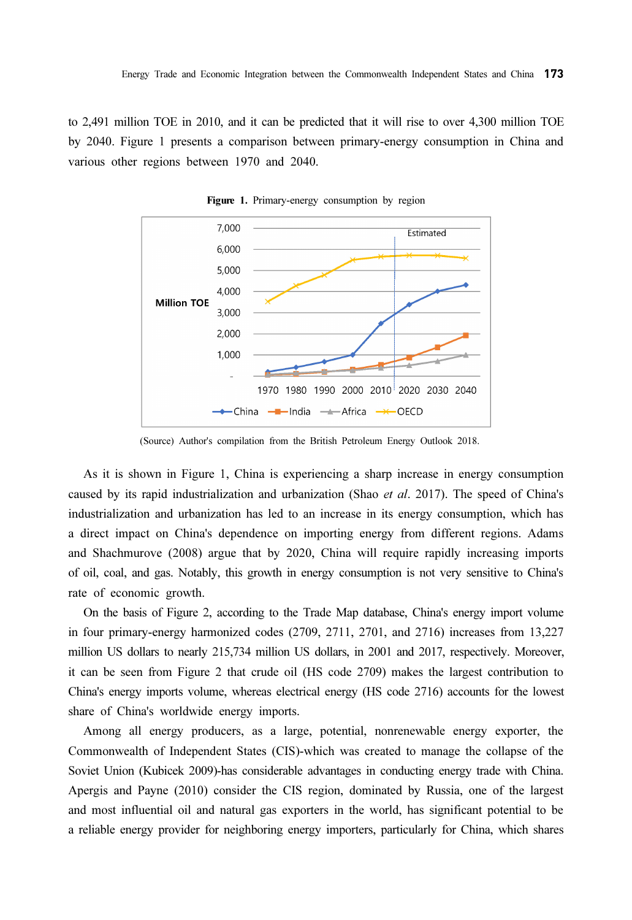to 2,491 million TOE in 2010, and it can be predicted that it will rise to over 4,300 million TOE by 2040. Figure 1 presents a comparison between primary-energy consumption in China and various other regions between 1970 and 2040.



Figure 1. Primary-energy consumption by region

(Source) Author's compilation from the British Petroleum Energy Outlook 2018.

As it is shown in Figure 1, China is experiencing a sharp increase in energy consumption caused by its rapid industrialization and urbanization (Shao et al. 2017). The speed of China's industrialization and urbanization has led to an increase in its energy consumption, which has a direct impact on China's dependence on importing energy from different regions. Adams and Shachmurove (2008) argue that by 2020, China will require rapidly increasing imports of oil, coal, and gas. Notably, this growth in energy consumption is not very sensitive to China's rate of economic growth.

On the basis of Figure 2, according to the Trade Map database, China's energy import volume in four primary-energy harmonized codes (2709, 2711, 2701, and 2716) increases from 13,227 million US dollars to nearly 215,734 million US dollars, in 2001 and 2017, respectively. Moreover, it can be seen from Figure 2 that crude oil (HS code 2709) makes the largest contribution to China's energy imports volume, whereas electrical energy (HS code 2716) accounts for the lowest share of China's worldwide energy imports.

Among all energy producers, as a large, potential, nonrenewable energy exporter, the Commonwealth of Independent States (CIS)-which was created to manage the collapse of the Soviet Union (Kubicek 2009)-has considerable advantages in conducting energy trade with China. Apergis and Payne (2010) consider the CIS region, dominated by Russia, one of the largest and most influential oil and natural gas exporters in the world, has significant potential to be a reliable energy provider for neighboring energy importers, particularly for China, which shares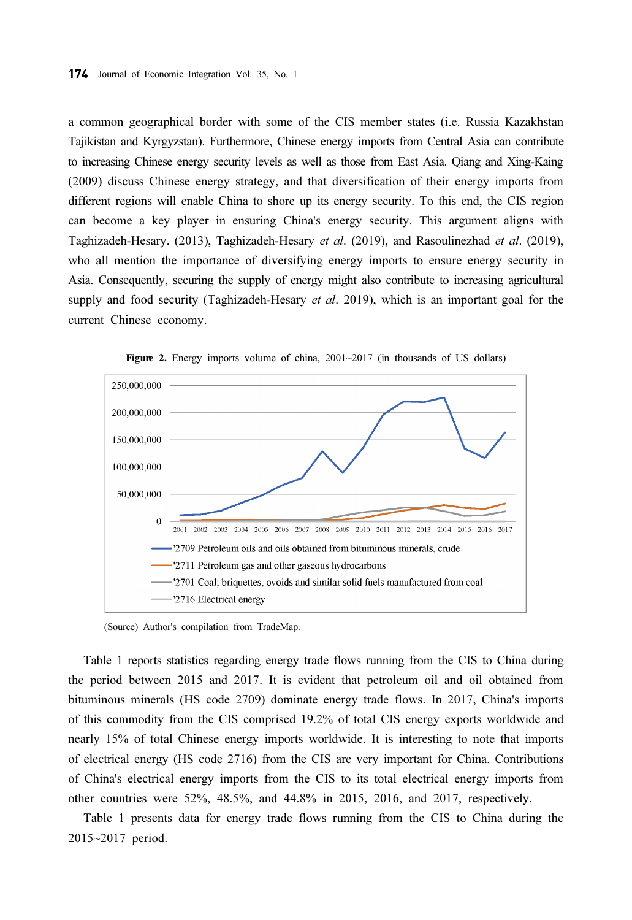a common geographical border with some of the CIS member states (i.e. Russia Kazakhstan Tajikistan and Kyrgyzstan). Furthermore, Chinese energy imports from Central Asia can contribute to increasing Chinese energy security levels as well as those from East Asia. Qiang and Xing-Kaing (2009) discuss Chinese energy strategy, and that diversification of their energy imports from different regions will enable China to shore up its energy security. To this end, the CIS region can become a key player in ensuring China's energy security. This argument aligns with Taghizadeh-Hesary. (2013), Taghizadeh-Hesary et al. (2019), and Rasoulinezhad et al. (2019), who all mention the importance of diversifying energy imports to ensure energy security in Asia. Consequently, securing the supply of energy might also contribute to increasing agricultural supply and food security (Taghizadeh-Hesary *et al.* 2019), which is an important goal for the current Chinese economy.



Figure 2. Energy imports volume of china, 2001~2017 (in thousands of US dollars)

(Source) Author's compilation from TradeMap.

Table 1 reports statistics regarding energy trade flows running from the CIS to China during the period between 2015 and 2017. It is evident that petroleum oil and oil obtained from bituminous minerals (HS code 2709) dominate energy trade flows. In 2017, China's imports of this commodity from the CIS comprised 19.2% of total CIS energy exports worldwide and nearly 15% of total Chinese energy imports worldwide. It is interesting to note that imports of electrical energy (HS code 2716) from the CIS are very important for China. Contributions of China's electrical energy imports from the CIS to its total electrical energy imports from other countries were 52%, 48.5%, and 44.8% in 2015, 2016, and 2017, respectively.

Table 1 presents data for energy trade flows running from the CIS to China during the 2015~2017 period.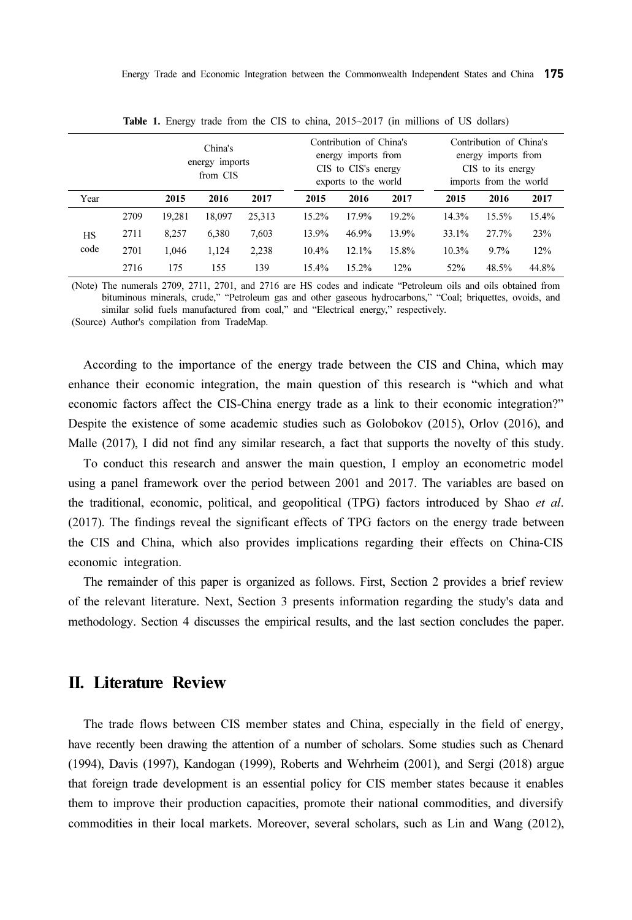| China's<br>energy imports<br>from CIS |      |        | Contribution of China's<br>energy imports from<br>CIS to CIS's energy<br>exports to the world |        |          | Contribution of China's<br>energy imports from<br>CIS to its energy<br>imports from the world |       |       |         |       |
|---------------------------------------|------|--------|-----------------------------------------------------------------------------------------------|--------|----------|-----------------------------------------------------------------------------------------------|-------|-------|---------|-------|
| Year                                  |      | 2015   | 2016                                                                                          | 2017   | 2015     | 2016                                                                                          | 2017  | 2015  | 2016    | 2017  |
| HS<br>code                            | 2709 | 19.281 | 18.097                                                                                        | 25,313 | 15.2%    | 17.9%                                                                                         | 19.2% | 14.3% | 15.5%   | 15.4% |
|                                       | 2711 | 8,257  | 6,380                                                                                         | 7,603  | 13.9%    | 46.9%                                                                                         | 13.9% | 33.1% | 27.7%   | 23%   |
|                                       | 2701 | 1,046  | 1,124                                                                                         | 2,238  | $10.4\%$ | 12.1%                                                                                         | 15.8% | 10.3% | $9.7\%$ | 12%   |
|                                       | 2716 | 175    | 155                                                                                           | 139    | 15.4%    | 15.2%                                                                                         | 12%   | 52%   | 48.5%   | 44.8% |

Table 1. Energy trade from the CIS to china, 2015~2017 (in millions of US dollars)

(Note) The numerals 2709, 2711, 2701, and 2716 are HS codes and indicate "Petroleum oils and oils obtained from bituminous minerals, crude," "Petroleum gas and other gaseous hydrocarbons," "Coal; briquettes, ovoids, and similar solid fuels manufactured from coal," and "Electrical energy," respectively.

(Source) Author's compilation from TradeMap.

According to the importance of the energy trade between the CIS and China, which may enhance their economic integration, the main question of this research is "which and what economic factors affect the CIS-China energy trade as a link to their economic integration?" Despite the existence of some academic studies such as Golobokov (2015), Orlov (2016), and Malle (2017), I did not find any similar research, a fact that supports the novelty of this study.

To conduct this research and answer the main question, I employ an econometric model using a panel framework over the period between 2001 and 2017. The variables are based on the traditional, economic, political, and geopolitical (TPG) factors introduced by Shao *et al.* (2017). The findings reveal the significant effects of TPG factors on the energy trade between the CIS and China, which also provides implications regarding their effects on China-CIS economic integration.

The remainder of this paper is organized as follows. First, Section 2 provides a brief review of the relevant literature. Next, Section 3 presents information regarding the study's data and methodology. Section 4 discusses the empirical results, and the last section concludes the paper.

### II. Literature Review

The trade flows between CIS member states and China, especially in the field of energy, have recently been drawing the attention of a number of scholars. Some studies such as Chenard (1994), Davis (1997), Kandogan (1999), Roberts and Wehrheim (2001), and Sergi (2018) argue that foreign trade development is an essential policy for CIS member states because it enables them to improve their production capacities, promote their national commodities, and diversify commodities in their local markets. Moreover, several scholars, such as Lin and Wang (2012),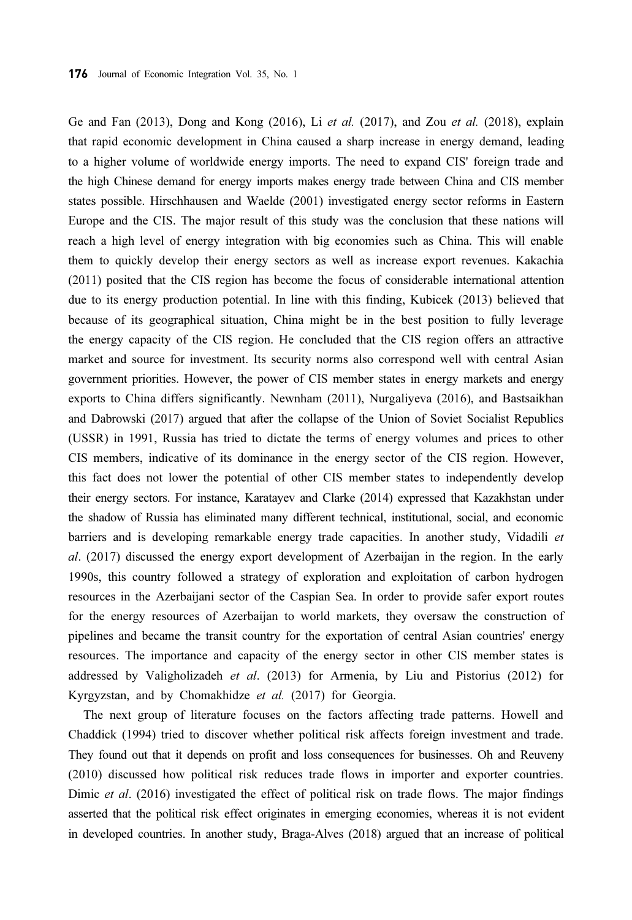Ge and Fan  $(2013)$ , Dong and Kong  $(2016)$ , Li et al.  $(2017)$ , and Zou et al.  $(2018)$ , explain that rapid economic development in China caused a sharp increase in energy demand, leading to a higher volume of worldwide energy imports. The need to expand CIS' foreign trade and the high Chinese demand for energy imports makes energy trade between China and CIS member states possible. Hirschhausen and Waelde (2001) investigated energy sector reforms in Eastern Europe and the CIS. The major result of this study was the conclusion that these nations will reach a high level of energy integration with big economies such as China. This will enable them to quickly develop their energy sectors as well as increase export revenues. Kakachia (2011) posited that the CIS region has become the focus of considerable international attention due to its energy production potential. In line with this finding, Kubicek (2013) believed that because of its geographical situation, China might be in the best position to fully leverage the energy capacity of the CIS region. He concluded that the CIS region offers an attractive market and source for investment. Its security norms also correspond well with central Asian government priorities. However, the power of CIS member states in energy markets and energy exports to China differs significantly. Newnham (2011), Nurgaliyeva (2016), and Bastsaikhan and Dabrowski (2017) argued that after the collapse of the Union of Soviet Socialist Republics (USSR) in 1991, Russia has tried to dictate the terms of energy volumes and prices to other CIS members, indicative of its dominance in the energy sector of the CIS region. However, this fact does not lower the potential of other CIS member states to independently develop their energy sectors. For instance, Karatayev and Clarke (2014) expressed that Kazakhstan under the shadow of Russia has eliminated many different technical, institutional, social, and economic barriers and is developing remarkable energy trade capacities. In another study, Vidadili et al. (2017) discussed the energy export development of Azerbaijan in the region. In the early 1990s, this country followed a strategy of exploration and exploitation of carbon hydrogen resources in the Azerbaijani sector of the Caspian Sea. In order to provide safer export routes for the energy resources of Azerbaijan to world markets, they oversaw the construction of pipelines and became the transit country for the exportation of central Asian countries' energy resources. The importance and capacity of the energy sector in other CIS member states is addressed by Valigholizadeh et al. (2013) for Armenia, by Liu and Pistorius (2012) for Kyrgyzstan, and by Chomakhidze et al. (2017) for Georgia.

The next group of literature focuses on the factors affecting trade patterns. Howell and Chaddick (1994) tried to discover whether political risk affects foreign investment and trade. They found out that it depends on profit and loss consequences for businesses. Oh and Reuveny (2010) discussed how political risk reduces trade flows in importer and exporter countries. Dimic et al. (2016) investigated the effect of political risk on trade flows. The major findings asserted that the political risk effect originates in emerging economies, whereas it is not evident in developed countries. In another study, Braga-Alves (2018) argued that an increase of political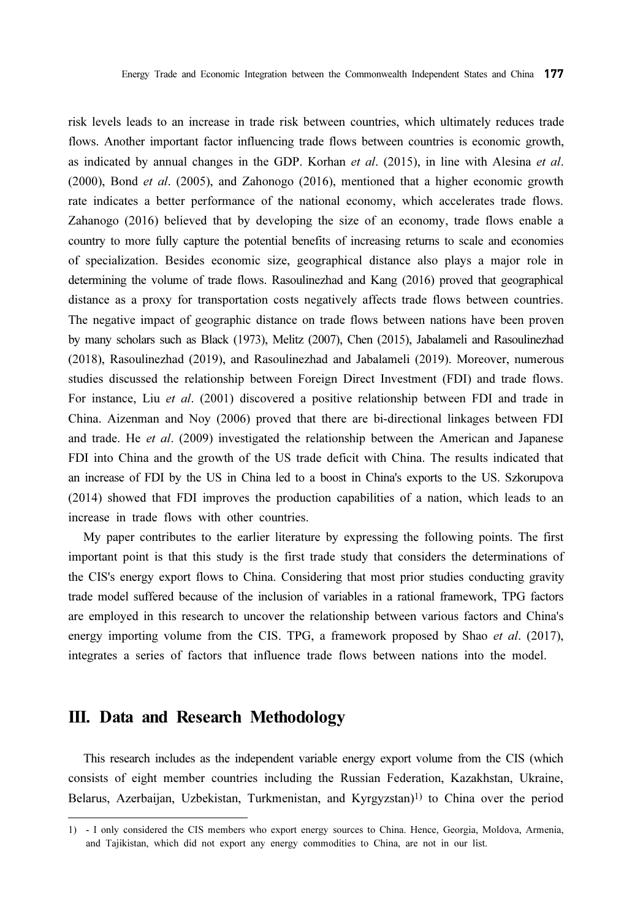risk levels leads to an increase in trade risk between countries, which ultimately reduces trade flows. Another important factor influencing trade flows between countries is economic growth, as indicated by annual changes in the GDP. Korhan *et al.* (2015), in line with Alesina *et al.* (2000), Bond et al. (2005), and Zahonogo (2016), mentioned that a higher economic growth rate indicates a better performance of the national economy, which accelerates trade flows. Zahanogo (2016) believed that by developing the size of an economy, trade flows enable a country to more fully capture the potential benefits of increasing returns to scale and economies of specialization. Besides economic size, geographical distance also plays a major role in determining the volume of trade flows. Rasoulinezhad and Kang (2016) proved that geographical distance as a proxy for transportation costs negatively affects trade flows between countries. The negative impact of geographic distance on trade flows between nations have been proven by many scholars such as Black (1973), Melitz (2007), Chen (2015), Jabalameli and Rasoulinezhad (2018), Rasoulinezhad (2019), and Rasoulinezhad and Jabalameli (2019). Moreover, numerous studies discussed the relationship between Foreign Direct Investment (FDI) and trade flows. For instance, Liu et al. (2001) discovered a positive relationship between FDI and trade in China. Aizenman and Noy (2006) proved that there are bi-directional linkages between FDI and trade. He et al. (2009) investigated the relationship between the American and Japanese FDI into China and the growth of the US trade deficit with China. The results indicated that an increase of FDI by the US in China led to a boost in China's exports to the US. Szkorupova (2014) showed that FDI improves the production capabilities of a nation, which leads to an increase in trade flows with other countries.

My paper contributes to the earlier literature by expressing the following points. The first important point is that this study is the first trade study that considers the determinations of the CIS's energy export flows to China. Considering that most prior studies conducting gravity trade model suffered because of the inclusion of variables in a rational framework, TPG factors are employed in this research to uncover the relationship between various factors and China's energy importing volume from the CIS. TPG, a framework proposed by Shao *et al.* (2017), integrates a series of factors that influence trade flows between nations into the model.

# III. Data and Research Methodology

This research includes as the independent variable energy export volume from the CIS (which consists of eight member countries including the Russian Federation, Kazakhstan, Ukraine, Belarus, Azerbaijan, Uzbekistan, Turkmenistan, and Kyrgyzstan)1) to China over the period

<sup>1) -</sup> I only considered the CIS members who export energy sources to China. Hence, Georgia, Moldova, Armenia, and Tajikistan, which did not export any energy commodities to China, are not in our list.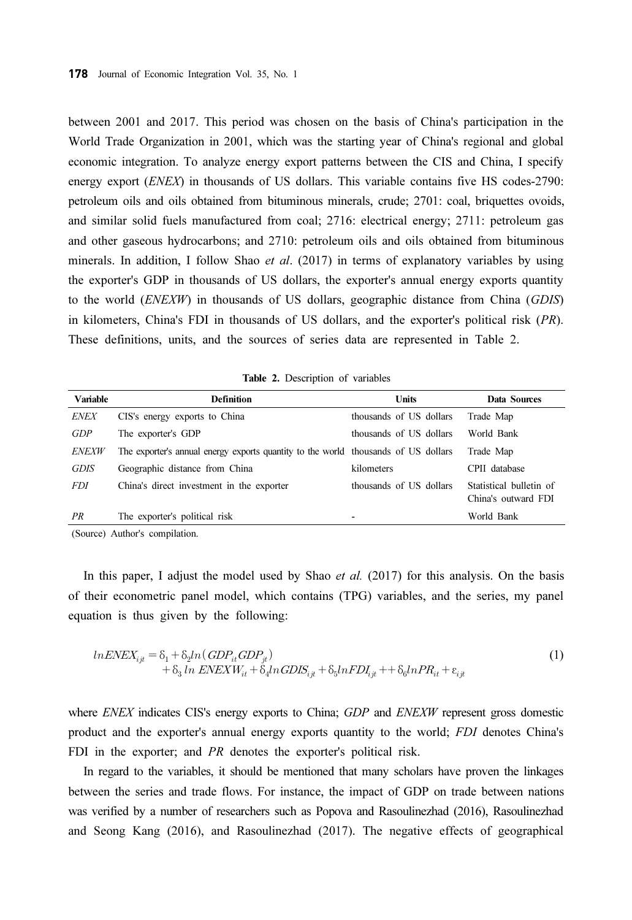between 2001 and 2017. This period was chosen on the basis of China's participation in the World Trade Organization in 2001, which was the starting year of China's regional and global economic integration. To analyze energy export patterns between the CIS and China, I specify energy export (ENEX) in thousands of US dollars. This variable contains five HS codes-2790: petroleum oils and oils obtained from bituminous minerals, crude; 2701: coal, briquettes ovoids, and similar solid fuels manufactured from coal; 2716: electrical energy; 2711: petroleum gas and other gaseous hydrocarbons; and 2710: petroleum oils and oils obtained from bituminous minerals. In addition, I follow Shao *et al.* (2017) in terms of explanatory variables by using the exporter's GDP in thousands of US dollars, the exporter's annual energy exports quantity to the world (ENEXW) in thousands of US dollars, geographic distance from China (GDIS) in kilometers, China's FDI in thousands of US dollars, and the exporter's political risk (PR). These definitions, units, and the sources of series data are represented in Table 2.

Table 2. Description of variables

| Variable     | <b>Definition</b>                                                                  | <b>Units</b>            | Data Sources                                   |
|--------------|------------------------------------------------------------------------------------|-------------------------|------------------------------------------------|
| <b>ENEX</b>  | CIS's energy exports to China                                                      | thousands of US dollars | Trade Map                                      |
| GDP          | The exporter's GDP                                                                 | thousands of US dollars | World Bank                                     |
| <b>ENEXW</b> | The exporter's annual energy exports quantity to the world thousands of US dollars |                         | Trade Map                                      |
| <b>GDIS</b>  | Geographic distance from China                                                     | kilometers              | CPII database                                  |
| <i>FDI</i>   | China's direct investment in the exporter                                          | thousands of US dollars | Statistical bulletin of<br>China's outward FDI |
| PR           | The exporter's political risk                                                      | -                       | World Bank                                     |

(Source) Author's compilation.

In this paper, I adjust the model used by Shao *et al.*  $(2017)$  for this analysis. On the basis of their econometric panel model, which contains (TPG) variables, and the series, my panel equation is thus given by the following:

$$
lnENEX_{ijt} = \delta_1 + \delta_2 ln(GDP_{it}GDP_{jt})
$$
  
+ 
$$
\delta_3 ln ENEXW_{it} + \delta_4 ln GDIS_{ijt} + \delta_5 ln FDI_{ijt} + \delta_6 ln PR_{it} + \varepsilon_{ijt}
$$
 (1)

where ENEX indicates CIS's energy exports to China; GDP and ENEXW represent gross domestic product and the exporter's annual energy exports quantity to the world; FDI denotes China's FDI in the exporter; and *PR* denotes the exporter's political risk.

In regard to the variables, it should be mentioned that many scholars have proven the linkages between the series and trade flows. For instance, the impact of GDP on trade between nations was verified by a number of researchers such as Popova and Rasoulinezhad (2016), Rasoulinezhad and Seong Kang (2016), and Rasoulinezhad (2017). The negative effects of geographical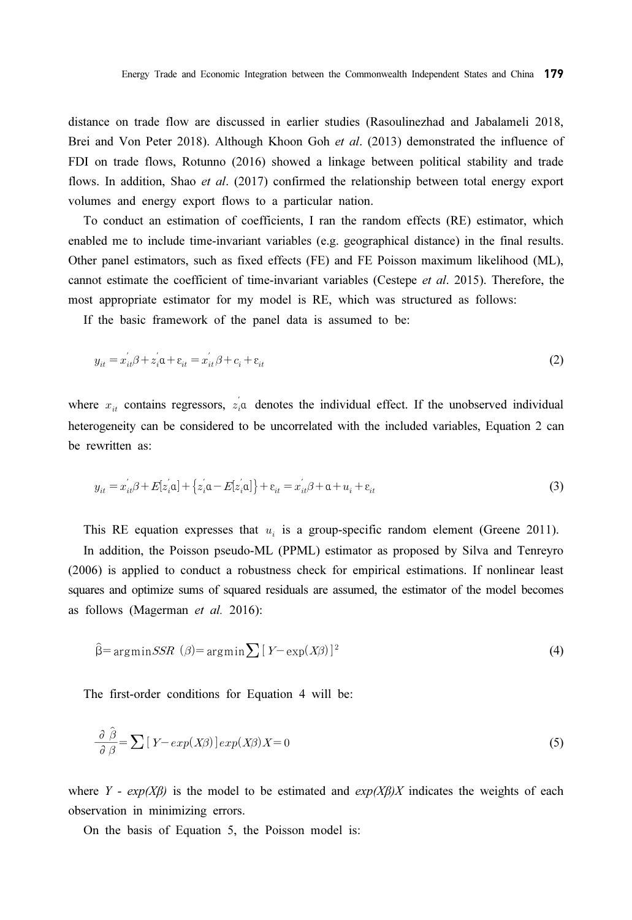distance on trade flow are discussed in earlier studies (Rasoulinezhad and Jabalameli 2018, Brei and Von Peter 2018). Although Khoon Goh et al. (2013) demonstrated the influence of FDI on trade flows, Rotunno (2016) showed a linkage between political stability and trade flows. In addition, Shao et al. (2017) confirmed the relationship between total energy export volumes and energy export flows to a particular nation.

To conduct an estimation of coefficients, I ran the random effects (RE) estimator, which enabled me to include time-invariant variables (e.g. geographical distance) in the final results. Other panel estimators, such as fixed effects (FE) and FE Poisson maximum likelihood (ML), cannot estimate the coefficient of time-invariant variables (Cestepe et al. 2015). Therefore, the most appropriate estimator for my model is RE, which was structured as follows:

If the basic framework of the panel data is assumed to be:

$$
y_{it} = x_{it}^{'}\beta + z_{i}^{'}\alpha + \varepsilon_{it} = x_{it}^{'}\beta + c_{i} + \varepsilon_{it}
$$
\n
$$
\tag{2}
$$

where  $x_{it}$  contains regressors,  $z_i$ <sup>'</sup> denotes the individual effect. If the unobserved individual heterogeneity can be considered to be uncorrelated with the included variables, Equation 2 can be rewritten as:

$$
y_{it} = x_{it}^{'}\beta + E[z_{i}^{'}\alpha] + \{z_{i}^{'}\alpha - E[z_{i}^{'}\alpha]\} + \varepsilon_{it} = x_{it}^{'}\beta + \alpha + u_{i} + \varepsilon_{it}
$$
\n(3)

This RE equation expresses that  $u_i$  is a group-specific random element (Greene 2011).

In addition, the Poisson pseudo-ML (PPML) estimator as proposed by Silva and Tenreyro (2006) is applied to conduct a robustness check for empirical estimations. If nonlinear least squares and optimize sums of squared residuals are assumed, the estimator of the model becomes as follows (Magerman et al. 2016):

$$
\hat{\beta} = \arg\minSSR \ (\beta) = \arg\min \sum \left[ Y - \exp(X\beta) \right]^2 \tag{4}
$$

The first-order conditions for Equation 4 will be:

the first-order conditions for Equation 4 will be:  
\n
$$
\frac{\partial \hat{\beta}}{\partial \beta} = \sum [Y - exp(X\beta)] exp(X\beta) X = 0
$$
\n(5)

where Y -  $exp(X\beta)$  is the model to be estimated and  $exp(X\beta)X$  indicates the weights of each observation in minimizing errors.

On the basis of Equation 5, the Poisson model is: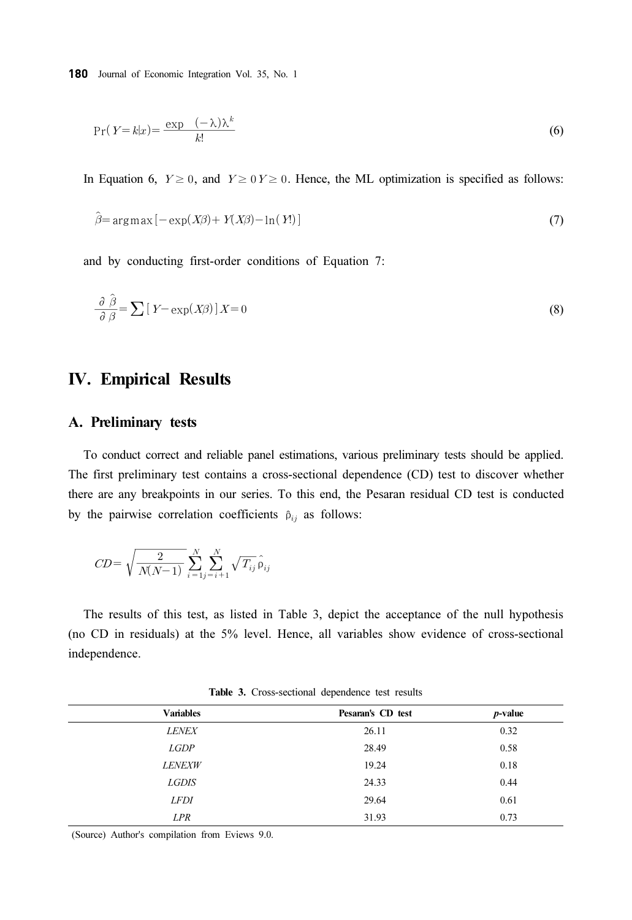Journal of Economic Integration Vol. 35, No. 1  

$$
Pr(Y = k|x) = \frac{\exp(-\lambda)\lambda^k}{k!}
$$
 (6)

In Equation 6,  $Y \ge 0$ , and  $Y \ge 0$   $Y \ge 0$ . Hence, the ML optimization is specified as follows:

$$
\hat{\beta} = \arg \max \left[ -\exp(X\beta) + Y(X\beta) - \ln(Y) \right] \tag{7}
$$

and by conducting first-order conditions of Equation 7:

and by conducting first-order conditions of Equation 7:

\n
$$
\frac{\partial \hat{\beta}}{\partial \beta} = \sum \left[ Y - \exp(X\beta) \right] X = 0
$$
\n(8)

### IV. Empirical Results

#### A. Preliminary tests

To conduct correct and reliable panel estimations, various preliminary tests should be applied. The first preliminary test contains a cross-sectional dependence (CD) test to discover whether there are any breakpoints in our series. To this end, the Pesaran residual CD test is conducted Journal of Economic<br>
Pr(*Y*=*k*|*x*)=  $\frac{\exp}{2}$ <br>
Equation 6, *Y*  $\geq$ <br>  $\hat{\beta}$ = argmax [- exp<br>
d by conducting<br>  $\frac{\partial \hat{\beta}}{\partial \beta} = \sum [Y - \exp$ <br> **Empirical F**<br>
Preliminary tes<br>
o conduct correct afirst preliminary to<br>
are any b  $Y \geq 0$ <br>  $\langle X\beta \rangle$ <br>  $\exists k$ <br>  $Y \geq 0$ <br>  $\langle X\beta \rangle$ <br>  $\exists k$ <br>  $\exists k$ <br>  $\exists k$ <br>  $\exists k$ <br>  $\exists k$ <br>  $\exists k$ <br>  $\forall k$ <br>  $\exists k$ <br>  $\forall k$ <br>  $\forall k$ <br>  $\forall k$ 

by the pairwise correlation coefficients 
$$
\hat{p}_{ij}
$$
 as follows:  
\n
$$
CD = \sqrt{\frac{2}{N(N-1)}} \sum_{i=1}^{N} \sum_{j=i+1}^{N} \sqrt{T_{ij}} \hat{p}_{ij}
$$

The results of this test, as listed in Table 3, depict the acceptance of the null hypothesis (no CD in residuals) at the 5% level. Hence, all variables show evidence of cross-sectional independence.

| <b>Variables</b> | Pesaran's CD test | $p$ -value |
|------------------|-------------------|------------|
| <b>LENEX</b>     | 26.11             | 0.32       |
| <b>LGDP</b>      | 28.49             | 0.58       |
| <b>LENEXW</b>    | 19.24             | 0.18       |
| <b>LGDIS</b>     | 24.33             | 0.44       |
| <b>LFDI</b>      | 29.64             | 0.61       |
| <b>LPR</b>       | 31.93             | 0.73       |
|                  |                   |            |

Table 3. Cross-sectional dependence test results

(Source) Author's compilation from Eviews 9.0.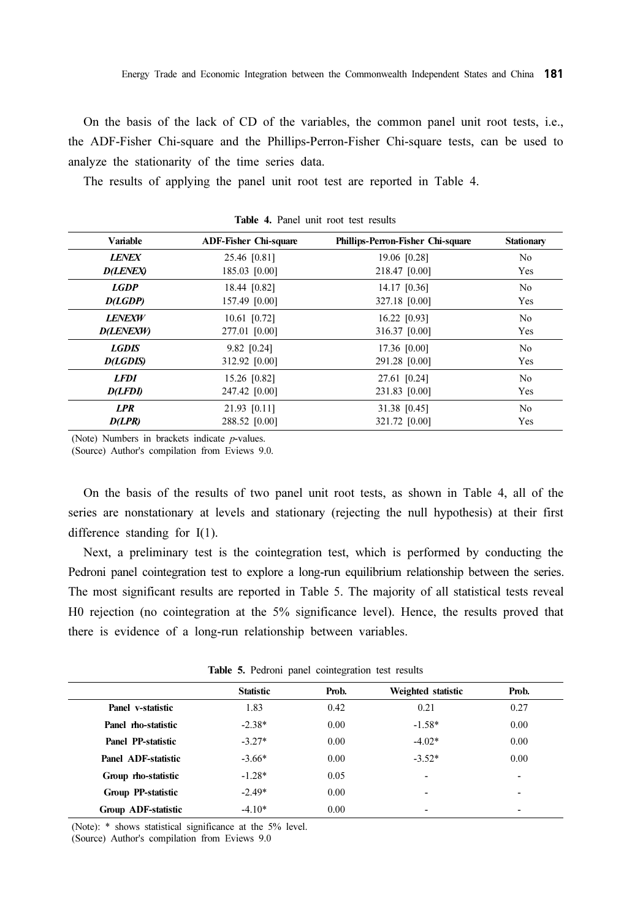On the basis of the lack of CD of the variables, the common panel unit root tests, i.e., the ADF-Fisher Chi-square and the Phillips-Perron-Fisher Chi-square tests, can be used to analyze the stationarity of the time series data.

The results of applying the panel unit root test are reported in Table 4.

| <b>Variable</b>  | <b>ADF-Fisher Chi-square</b> | Phillips-Perron-Fisher Chi-square | <b>Stationary</b> |
|------------------|------------------------------|-----------------------------------|-------------------|
| <b>LENEX</b>     | 25.46 [0.81]                 | 19.06 [0.28]                      | N <sub>0</sub>    |
| <b>D(LENEX)</b>  | 185.03 [0.00]                | 218.47 [0.00]                     | Yes               |
| <b>LGDP</b>      | 18.44 [0.82]                 | 14.17 [0.36]                      | N <sub>0</sub>    |
| D(LGDP)          | 157.49 [0.00]                | 327.18 [0.00]                     | Yes               |
| <b>LENEXW</b>    | 10.61 [0.72]                 | 16.22 [0.93]                      | N <sub>0</sub>    |
| <b>D(LENEXW)</b> | 277.01 [0.00]                | 316.37 [0.00]                     | Yes               |
| <b>LGDIS</b>     | $9.82$ [0.24]                | 17.36 [0.00]                      | N <sub>0</sub>    |
| <b>D(LGDIS)</b>  | 312.92 [0.00]                | 291.28 [0.00]                     | Yes               |
| <b>LFDI</b>      | 15.26 [0.82]                 | 27.61 [0.24]                      | N <sub>0</sub>    |
| <b>D(LFDI)</b>   | 247.42 [0.00]                | 231.83 [0.00]                     | Yes               |
| <b>LPR</b>       | 21.93 [0.11]                 | 31.38 [0.45]                      | N <sub>0</sub>    |
| D(LPR)           | 288.52 [0.00]                | 321.72 [0.00]                     | Yes               |

Table 4. Panel unit root test results

(Note) Numbers in brackets indicate p-values.

(Source) Author's compilation from Eviews 9.0.

On the basis of the results of two panel unit root tests, as shown in Table 4, all of the series are nonstationary at levels and stationary (rejecting the null hypothesis) at their first difference standing for I(1).

Next, a preliminary test is the cointegration test, which is performed by conducting the Pedroni panel cointegration test to explore a long-run equilibrium relationship between the series. The most significant results are reported in Table 5. The majority of all statistical tests reveal H0 rejection (no cointegration at the 5% significance level). Hence, the results proved that there is evidence of a long-run relationship between variables.

|                            | . .              |       |                          |       |
|----------------------------|------------------|-------|--------------------------|-------|
|                            | <b>Statistic</b> | Prob. | Weighted statistic       | Prob. |
| Panel v-statistic          | 1.83             | 0.42  | 0.21                     | 0.27  |
| Panel mo-statistic         | $-2.38*$         | 0.00  | $-1.58*$                 | 0.00  |
| Panel PP-statistic         | $-3.27*$         | 0.00  | $-4.02*$                 | 0.00  |
| Panel ADF-statistic        | $-3.66*$         | 0.00  | $-3.52*$                 | 0.00  |
| Group rho-statistic        | $-1.28*$         | 0.05  | $\overline{\phantom{a}}$ | -     |
| Group PP-statistic         | $-2.49*$         | 0.00  | -                        | ۰     |
| <b>Group ADF-statistic</b> | $-4.10*$         | 0.00  | -                        |       |

Table 5. Pedroni panel cointegration test results

(Note): \* shows statistical significance at the 5% level.

(Source) Author's compilation from Eviews 9.0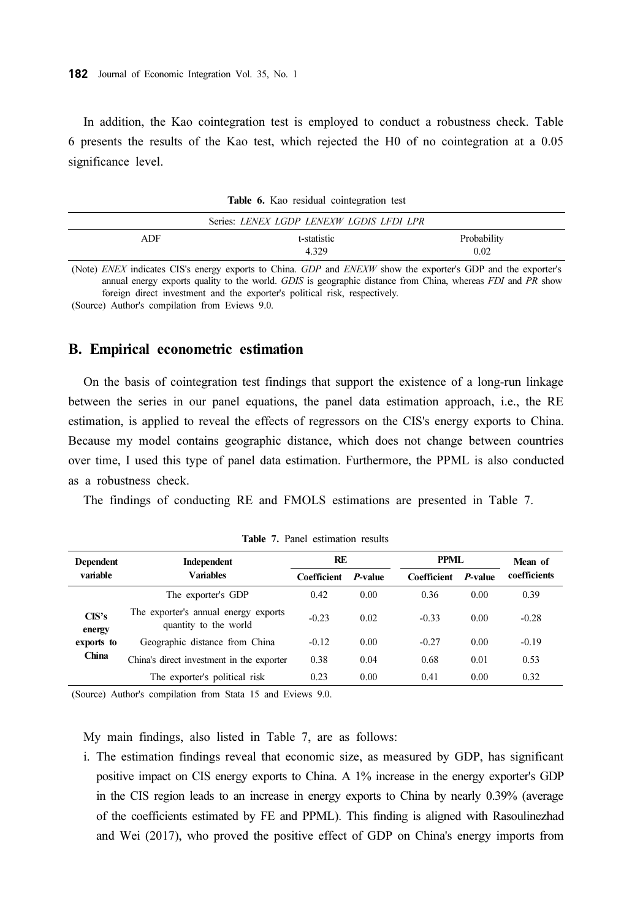In addition, the Kao cointegration test is employed to conduct a robustness check. Table 6 presents the results of the Kao test, which rejected the H0 of no cointegration at a 0.05 significance level.

|            | Series: LENEX LGDP LENEXW LGDIS LFDI LPR |             |
|------------|------------------------------------------|-------------|
| <b>ADF</b> | t-statistic                              | Probability |
|            | 4.329                                    | 0.02        |

Table 6. Kao residual cointegration test

(Note) ENEX indicates CIS's energy exports to China. GDP and ENEXW show the exporter's GDP and the exporter's annual energy exports quality to the world. GDIS is geographic distance from China, whereas FDI and PR show foreign direct investment and the exporter's political risk, respectively.

(Source) Author's compilation from Eviews 9.0.

#### B. Empirical econometric estimation

On the basis of cointegration test findings that support the existence of a long-run linkage between the series in our panel equations, the panel data estimation approach, i.e., the RE estimation, is applied to reveal the effects of regressors on the CIS's energy exports to China. Because my model contains geographic distance, which does not change between countries over time, I used this type of panel data estimation. Furthermore, the PPML is also conducted as a robustness check.

The findings of conducting RE and FMOLS estimations are presented in Table 7.

| <b>Dependent</b>                       | Independent                                                   | RE                 |         | PPML        |         | Mean of      |
|----------------------------------------|---------------------------------------------------------------|--------------------|---------|-------------|---------|--------------|
| variable                               | <b>Variables</b>                                              | <b>Coefficient</b> | P-value | Coefficient | P-value | coefficients |
|                                        | The exporter's GDP                                            | 0.42               | 0.00    | 0.36        | 0.00    | 0.39         |
| CIS's<br>energy<br>exports to<br>China | The exporter's annual energy exports<br>quantity to the world | $-0.23$            | 0.02    | $-0.33$     | 0.00    | $-0.28$      |
|                                        | Geographic distance from China                                | $-0.12$            | 0.00    | $-0.27$     | 0.00    | $-0.19$      |
|                                        | China's direct investment in the exporter                     | 0.38               | 0.04    | 0.68        | 0.01    | 0.53         |
|                                        | The exporter's political risk                                 | 0.23               | 0.00    | 0.41        | 0.00    | 0.32         |

Table 7. Panel estimation results

(Source) Author's compilation from Stata 15 and Eviews 9.0.

My main findings, also listed in Table 7, are as follows:

ⅰ. The estimation findings reveal that economic size, as measured by GDP, has significant positive impact on CIS energy exports to China. A 1% increase in the energy exporter's GDP in the CIS region leads to an increase in energy exports to China by nearly 0.39% (average of the coefficients estimated by FE and PPML). This finding is aligned with Rasoulinezhad and Wei (2017), who proved the positive effect of GDP on China's energy imports from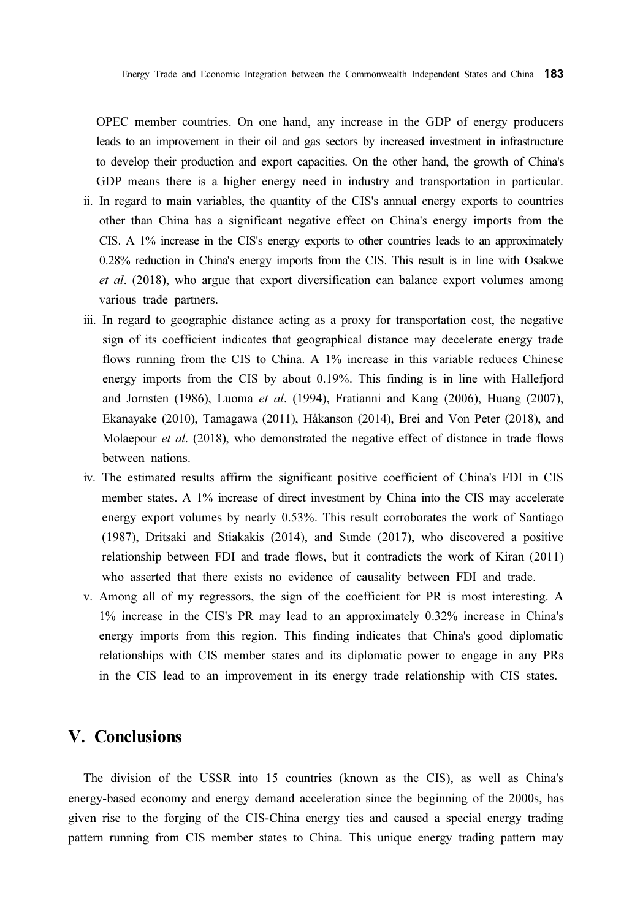OPEC member countries. On one hand, any increase in the GDP of energy producers leads to an improvement in their oil and gas sectors by increased investment in infrastructure to develop their production and export capacities. On the other hand, the growth of China's GDP means there is a higher energy need in industry and transportation in particular.

- ⅱ. In regard to main variables, the quantity of the CIS's annual energy exports to countries other than China has a significant negative effect on China's energy imports from the CIS. A 1% increase in the CIS's energy exports to other countries leads to an approximately 0.28% reduction in China's energy imports from the CIS. This result is in line with Osakwe et al. (2018), who argue that export diversification can balance export volumes among various trade partners.
- ⅲ. In regard to geographic distance acting as a proxy for transportation cost, the negative sign of its coefficient indicates that geographical distance may decelerate energy trade flows running from the CIS to China. A 1% increase in this variable reduces Chinese energy imports from the CIS by about 0.19%. This finding is in line with Hallefjord and Jornsten (1986), Luoma et al. (1994), Fratianni and Kang (2006), Huang (2007), Ekanayake (2010), Tamagawa (2011), Håkanson (2014), Brei and Von Peter (2018), and Molaepour *et al.* (2018), who demonstrated the negative effect of distance in trade flows between nations.
- ⅳ. The estimated results affirm the significant positive coefficient of China's FDI in CIS member states. A 1% increase of direct investment by China into the CIS may accelerate energy export volumes by nearly 0.53%. This result corroborates the work of Santiago (1987), Dritsaki and Stiakakis (2014), and Sunde (2017), who discovered a positive relationship between FDI and trade flows, but it contradicts the work of Kiran (2011) who asserted that there exists no evidence of causality between FDI and trade.
- ⅴ. Among all of my regressors, the sign of the coefficient for PR is most interesting. A 1% increase in the CIS's PR may lead to an approximately 0.32% increase in China's energy imports from this region. This finding indicates that China's good diplomatic relationships with CIS member states and its diplomatic power to engage in any PRs in the CIS lead to an improvement in its energy trade relationship with CIS states.

#### V. Conclusions

The division of the USSR into 15 countries (known as the CIS), as well as China's energy-based economy and energy demand acceleration since the beginning of the 2000s, has given rise to the forging of the CIS-China energy ties and caused a special energy trading pattern running from CIS member states to China. This unique energy trading pattern may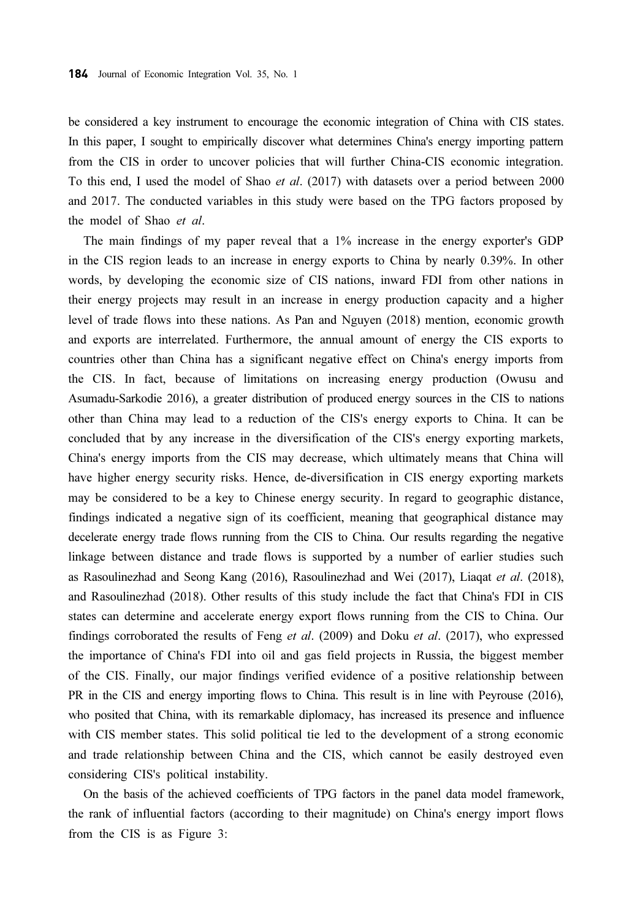be considered a key instrument to encourage the economic integration of China with CIS states. In this paper, I sought to empirically discover what determines China's energy importing pattern from the CIS in order to uncover policies that will further China-CIS economic integration. To this end, I used the model of Shao et al. (2017) with datasets over a period between 2000 and 2017. The conducted variables in this study were based on the TPG factors proposed by the model of Shao et al.

The main findings of my paper reveal that a 1% increase in the energy exporter's GDP in the CIS region leads to an increase in energy exports to China by nearly 0.39%. In other words, by developing the economic size of CIS nations, inward FDI from other nations in their energy projects may result in an increase in energy production capacity and a higher level of trade flows into these nations. As Pan and Nguyen (2018) mention, economic growth and exports are interrelated. Furthermore, the annual amount of energy the CIS exports to countries other than China has a significant negative effect on China's energy imports from the CIS. In fact, because of limitations on increasing energy production (Owusu and Asumadu-Sarkodie 2016), a greater distribution of produced energy sources in the CIS to nations other than China may lead to a reduction of the CIS's energy exports to China. It can be concluded that by any increase in the diversification of the CIS's energy exporting markets, China's energy imports from the CIS may decrease, which ultimately means that China will have higher energy security risks. Hence, de-diversification in CIS energy exporting markets may be considered to be a key to Chinese energy security. In regard to geographic distance, findings indicated a negative sign of its coefficient, meaning that geographical distance may decelerate energy trade flows running from the CIS to China. Our results regarding the negative linkage between distance and trade flows is supported by a number of earlier studies such as Rasoulinezhad and Seong Kang (2016), Rasoulinezhad and Wei (2017), Liaqat et al. (2018), and Rasoulinezhad (2018). Other results of this study include the fact that China's FDI in CIS states can determine and accelerate energy export flows running from the CIS to China. Our findings corroborated the results of Feng et al.  $(2009)$  and Doku et al.  $(2017)$ , who expressed the importance of China's FDI into oil and gas field projects in Russia, the biggest member of the CIS. Finally, our major findings verified evidence of a positive relationship between PR in the CIS and energy importing flows to China. This result is in line with Peyrouse (2016), who posited that China, with its remarkable diplomacy, has increased its presence and influence with CIS member states. This solid political tie led to the development of a strong economic and trade relationship between China and the CIS, which cannot be easily destroyed even considering CIS's political instability.

On the basis of the achieved coefficients of TPG factors in the panel data model framework, the rank of influential factors (according to their magnitude) on China's energy import flows from the CIS is as Figure 3: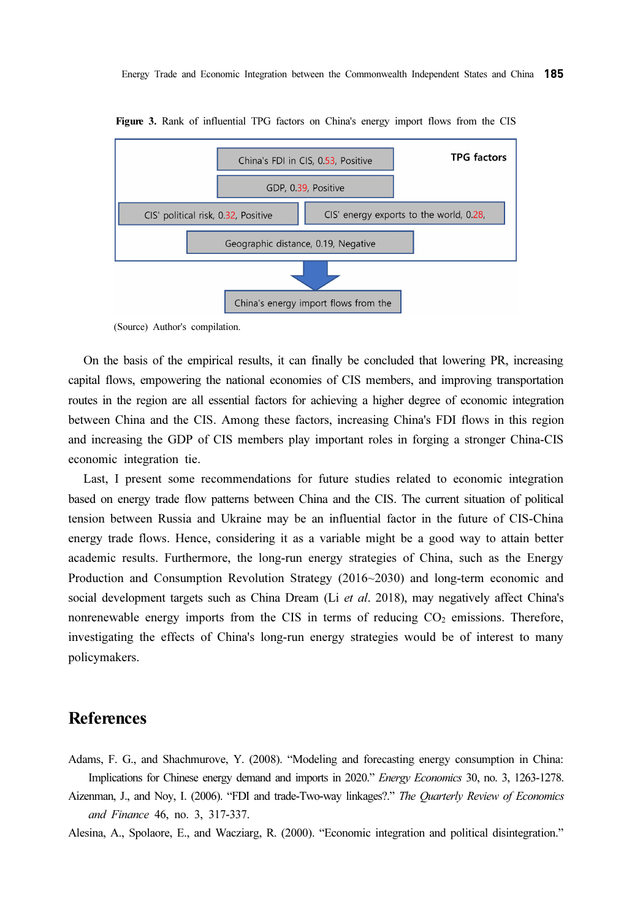

Figure 3. Rank of influential TPG factors on China's energy import flows from the CIS

(Source) Author's compilation.

On the basis of the empirical results, it can finally be concluded that lowering PR, increasing capital flows, empowering the national economies of CIS members, and improving transportation routes in the region are all essential factors for achieving a higher degree of economic integration between China and the CIS. Among these factors, increasing China's FDI flows in this region and increasing the GDP of CIS members play important roles in forging a stronger China-CIS economic integration tie.

Last, I present some recommendations for future studies related to economic integration based on energy trade flow patterns between China and the CIS. The current situation of political tension between Russia and Ukraine may be an influential factor in the future of CIS-China energy trade flows. Hence, considering it as a variable might be a good way to attain better academic results. Furthermore, the long-run energy strategies of China, such as the Energy Production and Consumption Revolution Strategy (2016~2030) and long-term economic and social development targets such as China Dream (Li et al. 2018), may negatively affect China's nonrenewable energy imports from the CIS in terms of reducing  $CO<sub>2</sub>$  emissions. Therefore, investigating the effects of China's long-run energy strategies would be of interest to many policymakers.

### **References**

Adams, F. G., and Shachmurove, Y. (2008). "Modeling and forecasting energy consumption in China: Implications for Chinese energy demand and imports in 2020." Energy Economics 30, no. 3, 1263-1278.

Aizenman, J., and Noy, I. (2006). "FDI and trade-Two-way linkages?." The Quarterly Review of Economics and Finance 46, no. 3, 317-337.

Alesina, A., Spolaore, E., and Wacziarg, R. (2000). "Economic integration and political disintegration."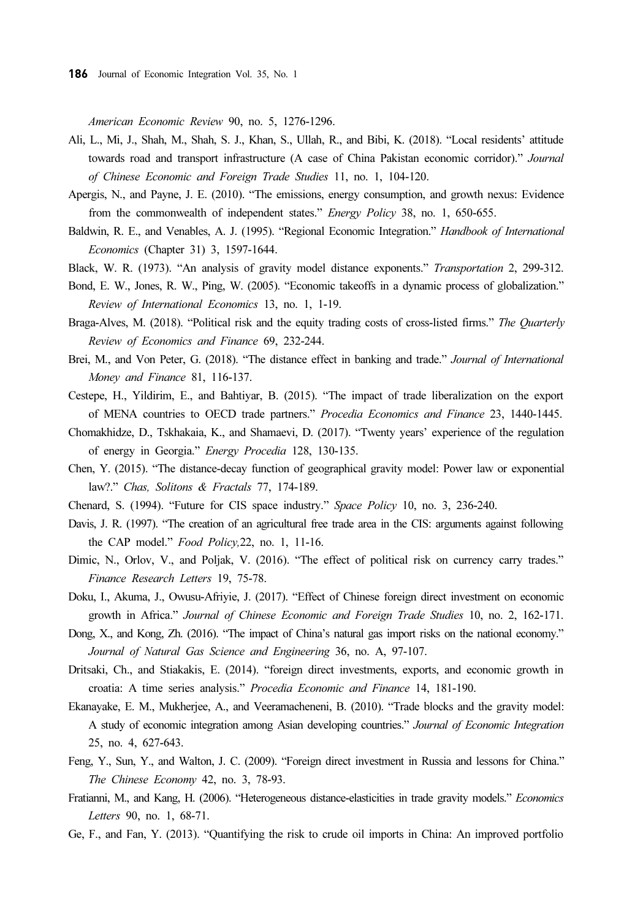American Economic Review 90, no. 5, 1276-1296.

- Ali, L., Mi, J., Shah, M., Shah, S. J., Khan, S., Ullah, R., and Bibi, K. (2018). "Local residents' attitude towards road and transport infrastructure (A case of China Pakistan economic corridor)." Journal of Chinese Economic and Foreign Trade Studies 11, no. 1, 104-120.
- Apergis, N., and Payne, J. E. (2010). "The emissions, energy consumption, and growth nexus: Evidence from the commonwealth of independent states." Energy Policy 38, no. 1, 650-655.
- Baldwin, R. E., and Venables, A. J. (1995). "Regional Economic Integration." Handbook of International Economics (Chapter 31) 3, 1597-1644.
- Black, W. R. (1973). "An analysis of gravity model distance exponents." Transportation 2, 299-312.
- Bond, E. W., Jones, R. W., Ping, W. (2005). "Economic takeoffs in a dynamic process of globalization." Review of International Economics 13, no. 1, 1-19.
- Braga-Alves, M. (2018). "Political risk and the equity trading costs of cross-listed firms." The Quarterly Review of Economics and Finance 69, 232-244.
- Brei, M., and Von Peter, G. (2018). "The distance effect in banking and trade." Journal of International Money and Finance 81, 116-137.
- Cestepe, H., Yildirim, E., and Bahtiyar, B. (2015). "The impact of trade liberalization on the export of MENA countries to OECD trade partners." Procedia Economics and Finance 23, 1440-1445.
- Chomakhidze, D., Tskhakaia, K., and Shamaevi, D. (2017). "Twenty years' experience of the regulation of energy in Georgia." Energy Procedia 128, 130-135.
- Chen, Y. (2015). "The distance-decay function of geographical gravity model: Power law or exponential law?." Chas, Solitons & Fractals 77, 174-189.
- Chenard, S. (1994). "Future for CIS space industry." Space Policy 10, no. 3, 236-240.
- Davis, J. R. (1997). "The creation of an agricultural free trade area in the CIS: arguments against following the CAP model." Food Policy,22, no. 1, 11-16.
- Dimic, N., Orlov, V., and Poljak, V. (2016). "The effect of political risk on currency carry trades." Finance Research Letters 19, 75-78.
- Doku, I., Akuma, J., Owusu-Afriyie, J. (2017). "Effect of Chinese foreign direct investment on economic growth in Africa." Journal of Chinese Economic and Foreign Trade Studies 10, no. 2, 162-171.
- Dong, X., and Kong, Zh. (2016). "The impact of China's natural gas import risks on the national economy." Journal of Natural Gas Science and Engineering 36, no. A, 97-107.
- Dritsaki, Ch., and Stiakakis, E. (2014). "foreign direct investments, exports, and economic growth in croatia: A time series analysis." Procedia Economic and Finance 14, 181-190.
- Ekanayake, E. M., Mukherjee, A., and Veeramacheneni, B. (2010). "Trade blocks and the gravity model: A study of economic integration among Asian developing countries." Journal of Economic Integration 25, no. 4, 627-643.
- Feng, Y., Sun, Y., and Walton, J. C. (2009). "Foreign direct investment in Russia and lessons for China." The Chinese Economy 42, no. 3, 78-93.
- Fratianni, M., and Kang, H. (2006). "Heterogeneous distance-elasticities in trade gravity models." Economics Letters 90, no. 1, 68-71.
- Ge, F., and Fan, Y. (2013). "Quantifying the risk to crude oil imports in China: An improved portfolio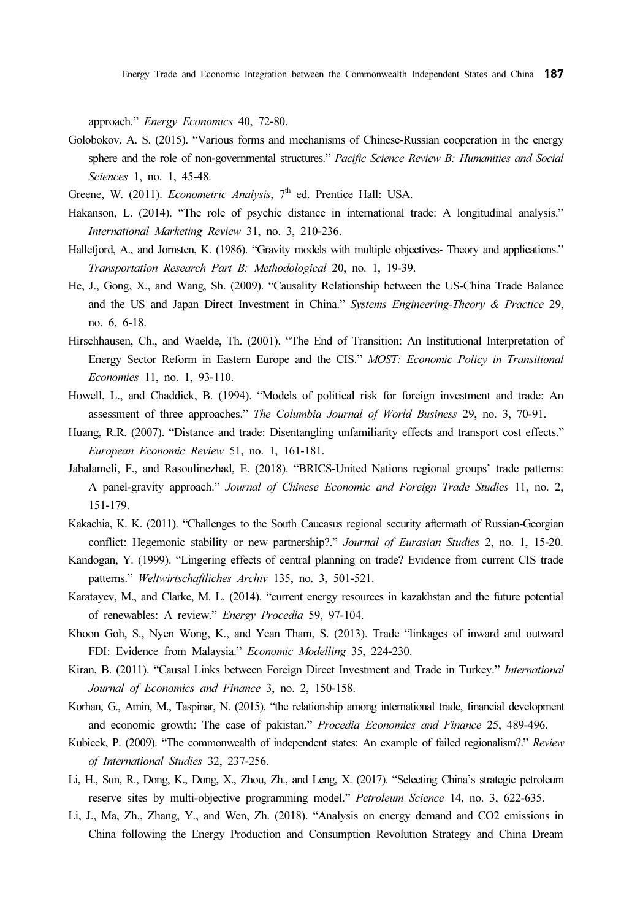Energy Trade and Economic Integration between the Commonwealth Independent States and China 187

approach." Energy Economics 40, 72-80.

- Golobokov, A. S. (2015). "Various forms and mechanisms of Chinese-Russian cooperation in the energy sphere and the role of non-governmental structures." Pacific Science Review B: Humanities and Social Sciences 1, no. 1, 45-48.
- Greene, W. (2011). *Econometric Analysis*,  $7<sup>th</sup>$  ed. Prentice Hall: USA.
- Hakanson, L. (2014). "The role of psychic distance in international trade: A longitudinal analysis." International Marketing Review 31, no. 3, 210-236.
- Hallefjord, A., and Jornsten, K. (1986). "Gravity models with multiple objectives- Theory and applications." Transportation Research Part B: Methodological 20, no. 1, 19-39.
- He, J., Gong, X., and Wang, Sh. (2009). "Causality Relationship between the US-China Trade Balance and the US and Japan Direct Investment in China." Systems Engineering-Theory & Practice 29, no. 6, 6-18.
- Hirschhausen, Ch., and Waelde, Th. (2001). "The End of Transition: An Institutional Interpretation of Energy Sector Reform in Eastern Europe and the CIS." MOST: Economic Policy in Transitional Economies 11, no. 1, 93-110.
- Howell, L., and Chaddick, B. (1994). "Models of political risk for foreign investment and trade: An assessment of three approaches." The Columbia Journal of World Business 29, no. 3, 70-91.
- Huang, R.R. (2007). "Distance and trade: Disentangling unfamiliarity effects and transport cost effects." European Economic Review 51, no. 1, 161-181.
- Jabalameli, F., and Rasoulinezhad, E. (2018). "BRICS-United Nations regional groups' trade patterns: A panel-gravity approach." Journal of Chinese Economic and Foreign Trade Studies 11, no. 2, 151-179.
- Kakachia, K. K. (2011). "Challenges to the South Caucasus regional security aftermath of Russian-Georgian conflict: Hegemonic stability or new partnership?." Journal of Eurasian Studies 2, no. 1, 15-20.
- Kandogan, Y. (1999). "Lingering effects of central planning on trade? Evidence from current CIS trade patterns." Weltwirtschaftliches Archiv 135, no. 3, 501-521.
- Karatayev, M., and Clarke, M. L. (2014). "current energy resources in kazakhstan and the future potential of renewables: A review." Energy Procedia 59, 97-104.
- Khoon Goh, S., Nyen Wong, K., and Yean Tham, S. (2013). Trade "linkages of inward and outward FDI: Evidence from Malaysia." Economic Modelling 35, 224-230.
- Kiran, B. (2011). "Causal Links between Foreign Direct Investment and Trade in Turkey." International Journal of Economics and Finance 3, no. 2, 150-158.
- Korhan, G., Amin, M., Taspinar, N. (2015). "the relationship among international trade, financial development and economic growth: The case of pakistan." Procedia Economics and Finance 25, 489-496.
- Kubicek, P. (2009). "The commonwealth of independent states: An example of failed regionalism?." Review of International Studies 32, 237-256.
- Li, H., Sun, R., Dong, K., Dong, X., Zhou, Zh., and Leng, X. (2017). "Selecting China's strategic petroleum reserve sites by multi-objective programming model." Petroleum Science 14, no. 3, 622-635.
- Li, J., Ma, Zh., Zhang, Y., and Wen, Zh. (2018). "Analysis on energy demand and CO2 emissions in China following the Energy Production and Consumption Revolution Strategy and China Dream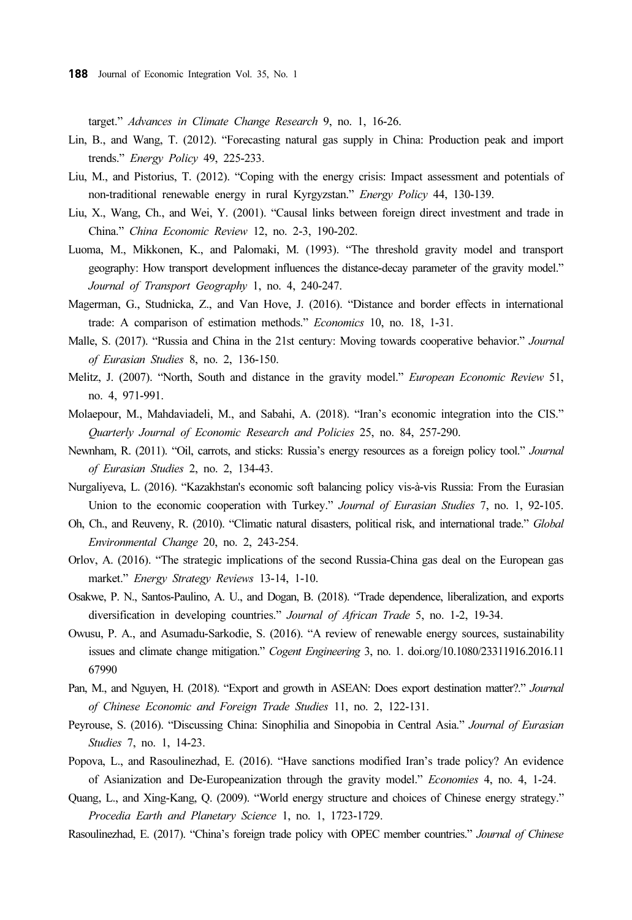target." Advances in Climate Change Research 9, no. 1, 16-26.

- Lin, B., and Wang, T. (2012). "Forecasting natural gas supply in China: Production peak and import trends." Energy Policy 49, 225-233.
- Liu, M., and Pistorius, T. (2012). "Coping with the energy crisis: Impact assessment and potentials of non-traditional renewable energy in rural Kyrgyzstan." Energy Policy 44, 130-139.
- Liu, X., Wang, Ch., and Wei, Y. (2001). "Causal links between foreign direct investment and trade in China." China Economic Review 12, no. 2-3, 190-202.
- Luoma, M., Mikkonen, K., and Palomaki, M. (1993). "The threshold gravity model and transport geography: How transport development influences the distance-decay parameter of the gravity model." Journal of Transport Geography 1, no. 4, 240-247.
- Magerman, G., Studnicka, Z., and Van Hove, J. (2016). "Distance and border effects in international trade: A comparison of estimation methods." Economics 10, no. 18, 1-31.
- Malle, S. (2017). "Russia and China in the 21st century: Moving towards cooperative behavior." Journal of Eurasian Studies 8, no. 2, 136-150.
- Melitz, J. (2007). "North, South and distance in the gravity model." *European Economic Review* 51, no. 4, 971-991.
- Molaepour, M., Mahdaviadeli, M., and Sabahi, A. (2018). "Iran's economic integration into the CIS." Quarterly Journal of Economic Research and Policies 25, no. 84, 257-290.
- Newnham, R. (2011). "Oil, carrots, and sticks: Russia's energy resources as a foreign policy tool." Journal of Eurasian Studies 2, no. 2, 134-43.
- Nurgaliyeva, L. (2016). "Kazakhstan's economic soft balancing policy vis-à-vis Russia: From the Eurasian Union to the economic cooperation with Turkey." Journal of Eurasian Studies 7, no. 1, 92-105.
- Oh, Ch., and Reuveny, R. (2010). "Climatic natural disasters, political risk, and international trade." Global Environmental Change 20, no. 2, 243-254.
- Orlov, A. (2016). "The strategic implications of the second Russia-China gas deal on the European gas market." Energy Strategy Reviews 13-14, 1-10.
- Osakwe, P. N., Santos-Paulino, A. U., and Dogan, B. (2018). "Trade dependence, liberalization, and exports diversification in developing countries." Journal of African Trade 5, no. 1-2, 19-34.
- Owusu, P. A., and Asumadu-Sarkodie, S. (2016). "A review of renewable energy sources, sustainability issues and climate change mitigation." Cogent Engineering 3, no. 1. doi.org/10.1080/23311916.2016.11 67990
- Pan, M., and Nguyen, H. (2018). "Export and growth in ASEAN: Does export destination matter?." Journal of Chinese Economic and Foreign Trade Studies 11, no. 2, 122-131.
- Peyrouse, S. (2016). "Discussing China: Sinophilia and Sinopobia in Central Asia." Journal of Eurasian Studies 7, no. 1, 14-23.
- Popova, L., and Rasoulinezhad, E. (2016). "Have sanctions modified Iran's trade policy? An evidence of Asianization and De-Europeanization through the gravity model." Economies 4, no. 4, 1-24.
- Quang, L., and Xing-Kang, Q. (2009). "World energy structure and choices of Chinese energy strategy." Procedia Earth and Planetary Science 1, no. 1, 1723-1729.

Rasoulinezhad, E. (2017). "China's foreign trade policy with OPEC member countries." Journal of Chinese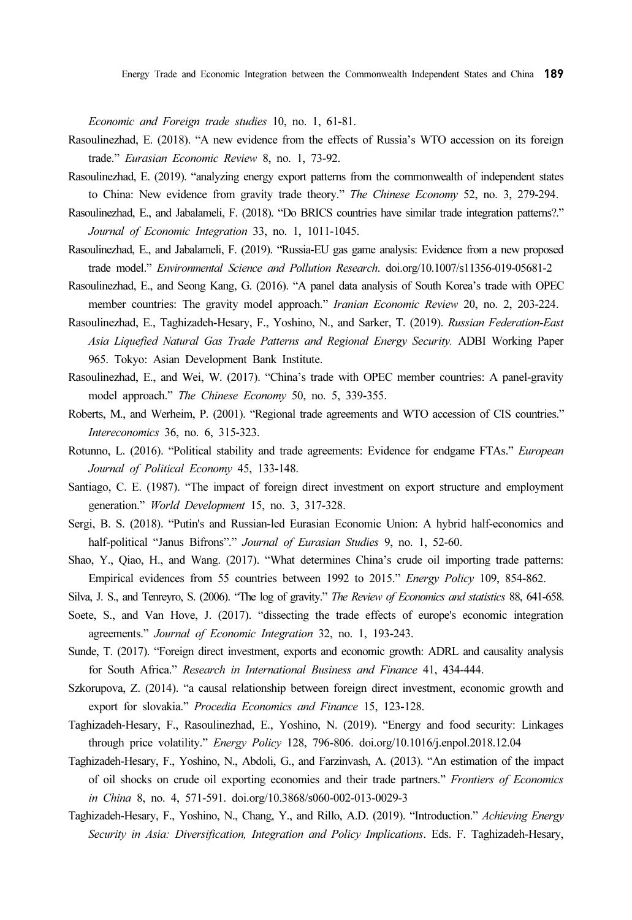Economic and Foreign trade studies 10, no. 1, 61-81.

- Rasoulinezhad, E. (2018). "A new evidence from the effects of Russia's WTO accession on its foreign trade." Eurasian Economic Review 8, no. 1, 73-92.
- Rasoulinezhad, E. (2019). "analyzing energy export patterns from the commonwealth of independent states to China: New evidence from gravity trade theory." The Chinese Economy 52, no. 3, 279-294.
- Rasoulinezhad, E., and Jabalameli, F. (2018). "Do BRICS countries have similar trade integration patterns?." Journal of Economic Integration 33, no. 1, 1011-1045.
- Rasoulinezhad, E., and Jabalameli, F. (2019). "Russia-EU gas game analysis: Evidence from a new proposed trade model." Environmental Science and Pollution Research. doi.org/10.1007/s11356-019-05681-2
- Rasoulinezhad, E., and Seong Kang, G. (2016). "A panel data analysis of South Korea's trade with OPEC member countries: The gravity model approach." Iranian Economic Review 20, no. 2, 203-224.
- Rasoulinezhad, E., Taghizadeh-Hesary, F., Yoshino, N., and Sarker, T. (2019). Russian Federation-East Asia Liquefied Natural Gas Trade Patterns and Regional Energy Security. ADBI Working Paper 965. Tokyo: Asian Development Bank Institute.
- Rasoulinezhad, E., and Wei, W. (2017). "China's trade with OPEC member countries: A panel-gravity model approach." The Chinese Economy 50, no. 5, 339-355.
- Roberts, M., and Werheim, P. (2001). "Regional trade agreements and WTO accession of CIS countries." Intereconomics 36, no. 6, 315-323.
- Rotunno, L. (2016). "Political stability and trade agreements: Evidence for endgame FTAs." European Journal of Political Economy 45, 133-148.
- Santiago, C. E. (1987). "The impact of foreign direct investment on export structure and employment generation." World Development 15, no. 3, 317-328.
- Sergi, B. S. (2018). "Putin's and Russian-led Eurasian Economic Union: A hybrid half-economics and half-political "Janus Bifrons"." Journal of Eurasian Studies 9, no. 1, 52-60.
- Shao, Y., Qiao, H., and Wang. (2017). "What determines China's crude oil importing trade patterns: Empirical evidences from 55 countries between 1992 to 2015." Energy Policy 109, 854-862.
- Silva, J. S., and Tenreyro, S. (2006). "The log of gravity." The Review of Economics and statistics 88, 641-658.
- Soete, S., and Van Hove, J. (2017). "dissecting the trade effects of europe's economic integration agreements." Journal of Economic Integration 32, no. 1, 193-243.
- Sunde, T. (2017). "Foreign direct investment, exports and economic growth: ADRL and causality analysis for South Africa." Research in International Business and Finance 41, 434-444.
- Szkorupova, Z. (2014). "a causal relationship between foreign direct investment, economic growth and export for slovakia." Procedia Economics and Finance 15, 123-128.
- Taghizadeh-Hesary, F., Rasoulinezhad, E., Yoshino, N. (2019). "Energy and food security: Linkages through price volatility." Energy Policy 128, 796-806. doi.org/10.1016/j.enpol.2018.12.04
- Taghizadeh-Hesary, F., Yoshino, N., Abdoli, G., and Farzinvash, A. (2013). "An estimation of the impact of oil shocks on crude oil exporting economies and their trade partners." Frontiers of Economics in China 8, no. 4, 571-591. doi.org/10.3868/s060-002-013-0029-3
- Taghizadeh-Hesary, F., Yoshino, N., Chang, Y., and Rillo, A.D. (2019). "Introduction." Achieving Energy Security in Asia: Diversification, Integration and Policy Implications. Eds. F. Taghizadeh-Hesary,